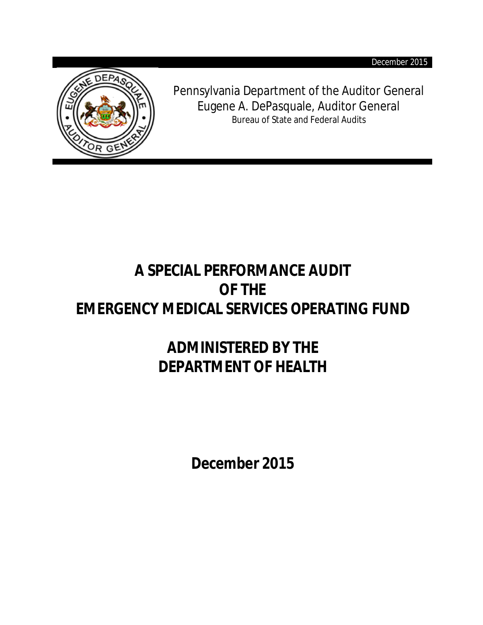December 2015



Pennsylvania Department of the Auditor General Eugene A. DePasquale, Auditor General Bureau of State and Federal Audits

# **A SPECIAL PERFORMANCE AUDIT OF THE EMERGENCY MEDICAL SERVICES OPERATING FUND**

# **ADMINISTERED BY THE DEPARTMENT OF HEALTH**

**December 2015**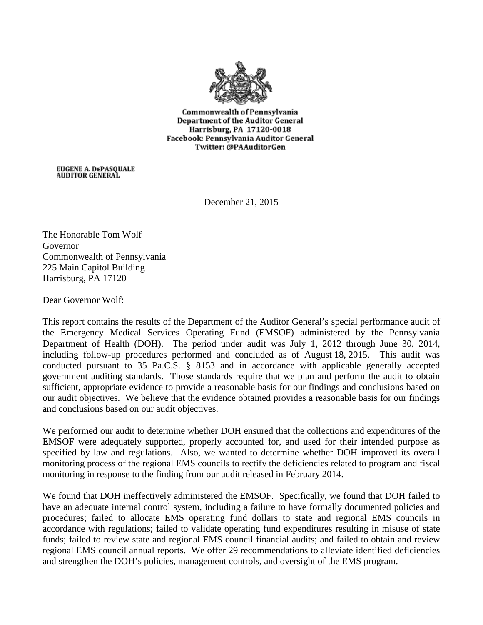

Commonwealth of Pennsylvania Department of the Auditor General Harrisburg, PA 17120-0018 Facebook: Pennsylvania Auditor General Twitter: @PAAuditorGen

EUGENE A. DEPASQUALE<br>AUDITOR GENERAL

December 21, 2015

The Honorable Tom Wolf Governor Commonwealth of Pennsylvania 225 Main Capitol Building Harrisburg, PA 17120

Dear Governor Wolf:

This report contains the results of the Department of the Auditor General's special performance audit of the Emergency Medical Services Operating Fund (EMSOF) administered by the Pennsylvania Department of Health (DOH). The period under audit was July 1, 2012 through June 30, 2014, including follow-up procedures performed and concluded as of August 18, 2015. This audit was conducted pursuant to 35 Pa.C.S. § 8153 and in accordance with applicable generally accepted government auditing standards. Those standards require that we plan and perform the audit to obtain sufficient, appropriate evidence to provide a reasonable basis for our findings and conclusions based on our audit objectives. We believe that the evidence obtained provides a reasonable basis for our findings and conclusions based on our audit objectives.

We performed our audit to determine whether DOH ensured that the collections and expenditures of the EMSOF were adequately supported, properly accounted for, and used for their intended purpose as specified by law and regulations. Also, we wanted to determine whether DOH improved its overall monitoring process of the regional EMS councils to rectify the deficiencies related to program and fiscal monitoring in response to the finding from our audit released in February 2014.

We found that DOH ineffectively administered the EMSOF. Specifically, we found that DOH failed to have an adequate internal control system, including a failure to have formally documented policies and procedures; failed to allocate EMS operating fund dollars to state and regional EMS councils in accordance with regulations; failed to validate operating fund expenditures resulting in misuse of state funds; failed to review state and regional EMS council financial audits; and failed to obtain and review regional EMS council annual reports. We offer 29 recommendations to alleviate identified deficiencies and strengthen the DOH's policies, management controls, and oversight of the EMS program.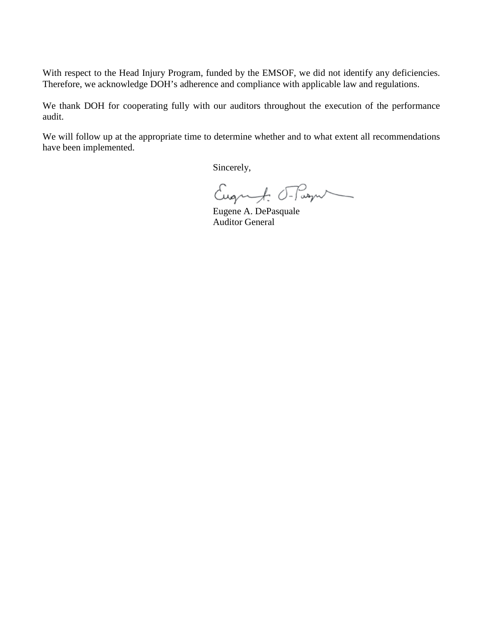With respect to the Head Injury Program, funded by the EMSOF, we did not identify any deficiencies. Therefore, we acknowledge DOH's adherence and compliance with applicable law and regulations.

We thank DOH for cooperating fully with our auditors throughout the execution of the performance audit.

We will follow up at the appropriate time to determine whether and to what extent all recommendations have been implemented.

Sincerely,

Eugenf. Frage

Eugene A. DePasquale Auditor General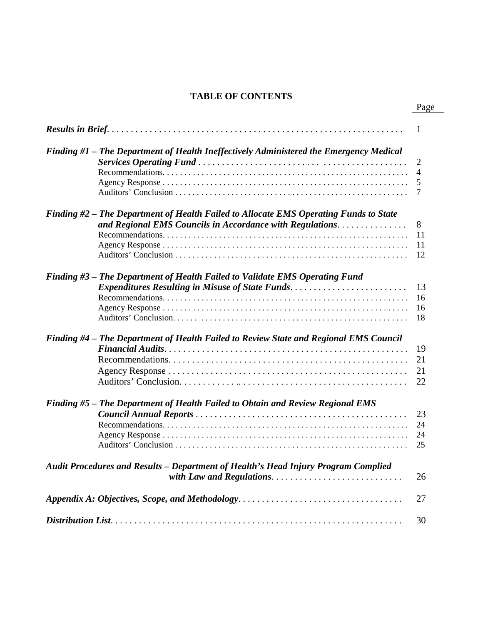# **TABLE OF CONTENTS**

|                                                                                                                                                   | 1                             |
|---------------------------------------------------------------------------------------------------------------------------------------------------|-------------------------------|
| Finding #1 - The Department of Health Ineffectively Administered the Emergency Medical                                                            | $\overline{2}$<br>4<br>5<br>7 |
| Finding #2 – The Department of Health Failed to Allocate EMS Operating Funds to State<br>and Regional EMS Councils in Accordance with Regulations | 8<br>11<br>11<br>12           |
| Finding #3 – The Department of Health Failed to Validate EMS Operating Fund<br>Expenditures Resulting in Misuse of State Funds                    | 13<br>16<br>16<br>18          |
| Finding #4 - The Department of Health Failed to Review State and Regional EMS Council                                                             | 19<br>21<br>21<br>22          |
| Finding #5 - The Department of Health Failed to Obtain and Review Regional EMS                                                                    | 23<br>24<br>24<br>25          |
| Audit Procedures and Results - Department of Health's Head Injury Program Complied<br>with Law and Regulations                                    | 26                            |
|                                                                                                                                                   | 27                            |
|                                                                                                                                                   | 30                            |

# Page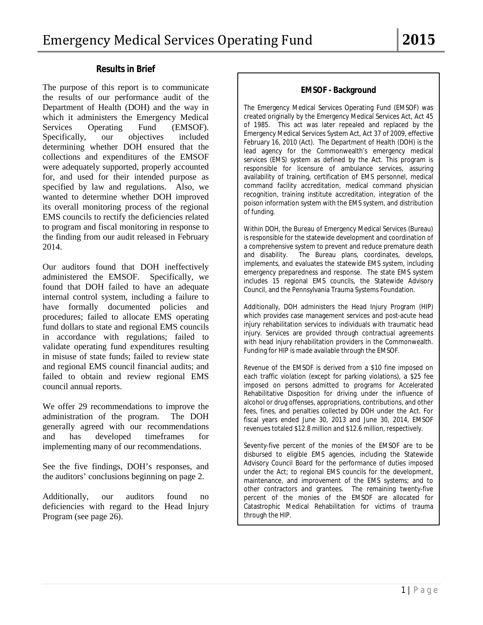#### **Results in Brief**

The purpose of this report is to communicate the results of our performance audit of the Department of Health (DOH) and the way in which it administers the Emergency Medical Services Operating Fund (EMSOF). Specifically, our objectives included determining whether DOH ensured that the collections and expenditures of the EMSOF were adequately supported, properly accounted for, and used for their intended purpose as specified by law and regulations. Also, we wanted to determine whether DOH improved its overall monitoring process of the regional EMS councils to rectify the deficiencies related to program and fiscal monitoring in response to the finding from our audit released in February 2014.

Our auditors found that DOH ineffectively administered the EMSOF. Specifically, we found that DOH failed to have an adequate internal control system, including a failure to have formally documented policies and procedures; failed to allocate EMS operating fund dollars to state and regional EMS councils in accordance with regulations; failed to validate operating fund expenditures resulting in misuse of state funds; failed to review state and regional EMS council financial audits; and failed to obtain and review regional EMS council annual reports.

We offer 29 recommendations to improve the administration of the program. The DOH generally agreed with our recommendations and has developed timeframes for implementing many of our recommendations.

See the five findings, DOH's responses, and the auditors' conclusions beginning on page 2.

Additionally, our auditors found no deficiencies with regard to the Head Injury Program (see page 26).

#### **EMSOF - Background**

The Emergency Medical Services Operating Fund (EMSOF) was created originally by the Emergency Medical Services Act, Act 45 of 1985. This act was later repealed and replaced by the Emergency Medical Services System Act, Act 37 of 2009, effective February 16, 2010 (Act). The Department of Health (DOH) is the lead agency for the Commonwealth's emergency medical services (EMS) system as defined by the Act. This program is responsible for licensure of ambulance services, assuring availability of training, certification of EMS personnel, medical command facility accreditation, medical command physician recognition, training institute accreditation, integration of the poison information system with the EMS system, and distribution of funding.

Within DOH, the Bureau of Emergency Medical Services (Bureau) is responsible for the statewide development and coordination of a comprehensive system to prevent and reduce premature death and disability. The Bureau plans, coordinates, develops, implements, and evaluates the statewide EMS system, including emergency preparedness and response. The state EMS system includes 15 regional EMS councils, the Statewide Advisory Council, and the Pennsylvania Trauma Systems Foundation.

Additionally, DOH administers the Head Injury Program (HIP) which provides case management services and post-acute head injury rehabilitation services to individuals with traumatic head injury. Services are provided through contractual agreements with head injury rehabilitation providers in the Commonwealth. Funding for HIP is made available through the EMSOF.

Revenue of the EMSOF is derived from a \$10 fine imposed on each traffic violation (except for parking violations), a \$25 fee imposed on persons admitted to programs for Accelerated Rehabilitative Disposition for driving under the influence of alcohol or drug offenses, appropriations, contributions, and other fees, fines, and penalties collected by DOH under the Act. For fiscal years ended June 30, 2013 and June 30, 2014, EMSOF revenues totaled \$12.8 million and \$12.6 million, respectively.

Seventy-five percent of the monies of the EMSOF are to be disbursed to eligible EMS agencies, including the Statewide Advisory Council Board for the performance of duties imposed under the Act; to regional EMS councils for the development, maintenance, and improvement of the EMS systems; and to other contractors and grantees. The remaining twenty-five percent of the monies of the EMSOF are allocated for Catastrophic Medical Rehabilitation for victims of trauma through the HIP.

 $\overline{a}$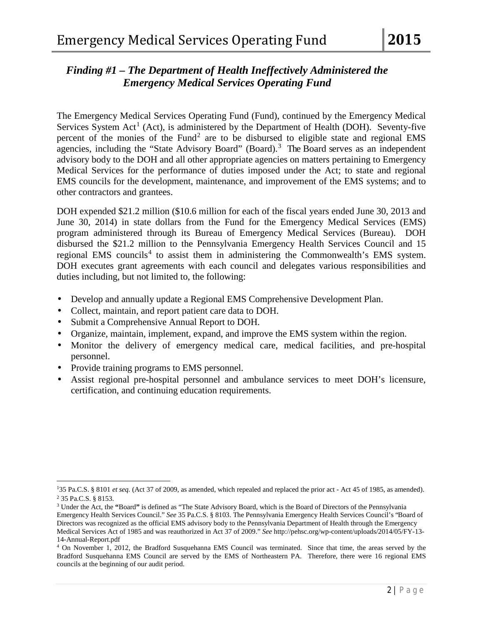# *Finding #1 – The Department of Health Ineffectively Administered the Emergency Medical Services Operating Fund*

The Emergency Medical Services Operating Fund (Fund), continued by the Emergency Medical Services System Act<sup>[1](#page-5-0)</sup> (Act), is administered by the Department of Health (DOH). Seventy-five percent of the monies of the Fund<sup>[2](#page-5-1)</sup> are to be disbursed to eligible state and regional EMS agencies, including the "State Advisory Board" (Board).<sup>[3](#page-5-2)</sup> The Board serves as an independent advisory body to the DOH and all other appropriate agencies on matters pertaining to Emergency Medical Services for the performance of duties imposed under the Act; to state and regional EMS councils for the development, maintenance, and improvement of the EMS systems; and to other contractors and grantees.

DOH expended \$21.2 million (\$10.6 million for each of the fiscal years ended June 30, 2013 and June 30, 2014) in state dollars from the Fund for the Emergency Medical Services (EMS) program administered through its Bureau of Emergency Medical Services (Bureau). DOH disbursed the \$21.2 million to the Pennsylvania Emergency Health Services Council and 15 regional EMS councils<sup>[4](#page-5-3)</sup> to assist them in administering the Commonwealth's EMS system. DOH executes grant agreements with each council and delegates various responsibilities and duties including, but not limited to, the following:

- Develop and annually update a Regional EMS Comprehensive Development Plan.
- Collect, maintain, and report patient care data to DOH.
- Submit a Comprehensive Annual Report to DOH.
- Organize, maintain, implement, expand, and improve the EMS system within the region.
- Monitor the delivery of emergency medical care, medical facilities, and pre-hospital personnel.
- Provide training programs to EMS personnel.
- Assist regional pre-hospital personnel and ambulance services to meet DOH's licensure, certification, and continuing education requirements.

 $\overline{\phantom{a}}$ 

<sup>&</sup>lt;sup>1</sup>35 Pa.C.S. § 8101 *et seq.* (Act 37 of 2009, as amended, which repealed and replaced the prior act - Act 45 of 1985, as amended). <sup>2</sup> 35 Pa.C.S. § 8153.

<span id="page-5-2"></span><span id="page-5-1"></span><span id="page-5-0"></span><sup>3</sup> Under the Act, the **"**Board**"** is defined as "The State Advisory Board, which is the Board of Directors of the Pennsylvania

Emergency Health Services Council." *See* 35 Pa.C.S. § 8103. The Pennsylvania Emergency Health Services Council's "Board of Directors was recognized as the official EMS advisory body to the Pennsylvania Department of Health through the Emergency Medical Services Act of 1985 and was reauthorized in Act 37 of 2009." *See* http://pehsc.org/wp-content/uploads/2014/05/FY-13-

<sup>14-</sup>Annual-Report.pdf

<span id="page-5-3"></span><sup>&</sup>lt;sup>4</sup> On November 1, 2012, the Bradford Susquehanna EMS Council was terminated. Since that time, the areas served by the Bradford Susquehanna EMS Council are served by the EMS of Northeastern PA. Therefore, there were 16 regional EMS councils at the beginning of our audit period.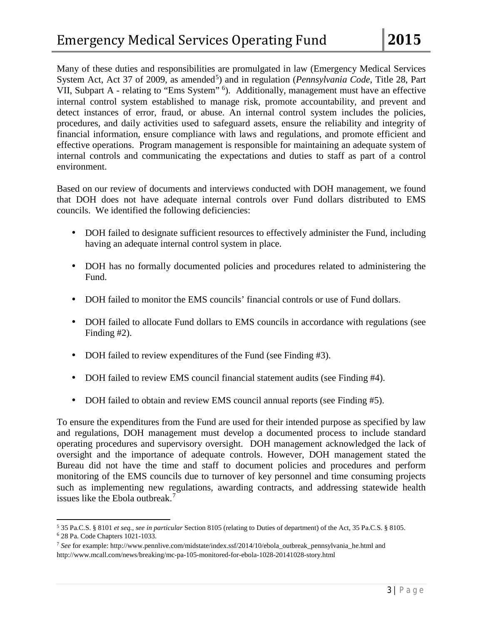Many of these duties and responsibilities are promulgated in law (Emergency Medical Services System Act, Act 37 of 2009, as amended<sup>[5](#page-6-0)</sup>) and in regulation (*Pennsylvania Code*, Title 28, Part VII, Subpart A - relating to "Ems System" <sup>[6](#page-6-1)</sup>). Additionally, management must have an effective internal control system established to manage risk, promote accountability, and prevent and detect instances of error, fraud, or abuse. An internal control system includes the policies, procedures, and daily activities used to safeguard assets, ensure the reliability and integrity of financial information, ensure compliance with laws and regulations, and promote efficient and effective operations. Program management is responsible for maintaining an adequate system of internal controls and communicating the expectations and duties to staff as part of a control environment.

Based on our review of documents and interviews conducted with DOH management, we found that DOH does not have adequate internal controls over Fund dollars distributed to EMS councils. We identified the following deficiencies:

- DOH failed to designate sufficient resources to effectively administer the Fund, including having an adequate internal control system in place.
- DOH has no formally documented policies and procedures related to administering the ä, Fund.
- DOH failed to monitor the EMS councils' financial controls or use of Fund dollars.
- DOH failed to allocate Fund dollars to EMS councils in accordance with regulations (see  $\mathbb{R}^{\mathbb{Z}}$ Finding #2).
- DOH failed to review expenditures of the Fund (see Finding #3). ¥,
- DOH failed to review EMS council financial statement audits (see Finding #4).
- DOH failed to obtain and review EMS council annual reports (see Finding #5). ä,

To ensure the expenditures from the Fund are used for their intended purpose as specified by law and regulations, DOH management must develop a documented process to include standard operating procedures and supervisory oversight. DOH management acknowledged the lack of oversight and the importance of adequate controls. However, DOH management stated the Bureau did not have the time and staff to document policies and procedures and perform monitoring of the EMS councils due to turnover of key personnel and time consuming projects such as implementing new regulations, awarding contracts, and addressing statewide health issues like the Ebola outbreak.<sup>[7](#page-6-2)</sup>

<span id="page-6-0"></span>l <sup>5</sup> 35 Pa.C.S. § 8101 *et seq., see in particular* Section 8105 (relating to Duties of department) of the Act, 35 Pa.C.S. § 8105.

<span id="page-6-2"></span><span id="page-6-1"></span><sup>&</sup>lt;sup>7</sup> See for example: http://www.pennlive.com/midstate/index.ssf/2014/10/ebola\_outbreak\_pennsylvania\_he.html and http://www.mcall.com/news/breaking/mc-pa-105-monitored-for-ebola-1028-20141028-story.html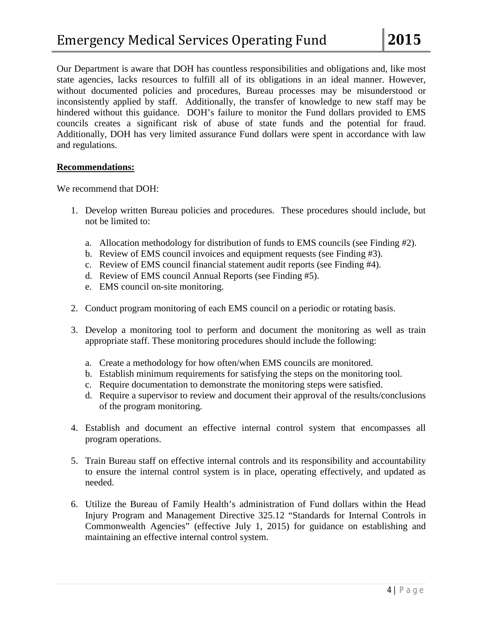Our Department is aware that DOH has countless responsibilities and obligations and, like most state agencies, lacks resources to fulfill all of its obligations in an ideal manner. However, without documented policies and procedures, Bureau processes may be misunderstood or inconsistently applied by staff. Additionally, the transfer of knowledge to new staff may be hindered without this guidance. DOH's failure to monitor the Fund dollars provided to EMS councils creates a significant risk of abuse of state funds and the potential for fraud. Additionally, DOH has very limited assurance Fund dollars were spent in accordance with law and regulations.

#### **Recommendations:**

We recommend that DOH:

- 1. Develop written Bureau policies and procedures. These procedures should include, but not be limited to:
	- a. Allocation methodology for distribution of funds to EMS councils (see Finding #2).
	- b. Review of EMS council invoices and equipment requests (see Finding #3).
	- c. Review of EMS council financial statement audit reports (see Finding #4).
	- d. Review of EMS council Annual Reports (see Finding #5).
	- e. EMS council on-site monitoring.
- 2. Conduct program monitoring of each EMS council on a periodic or rotating basis.
- 3. Develop a monitoring tool to perform and document the monitoring as well as train appropriate staff. These monitoring procedures should include the following:
	- a. Create a methodology for how often/when EMS councils are monitored.
	- b. Establish minimum requirements for satisfying the steps on the monitoring tool.
	- c. Require documentation to demonstrate the monitoring steps were satisfied.
	- d. Require a supervisor to review and document their approval of the results/conclusions of the program monitoring.
- 4. Establish and document an effective internal control system that encompasses all program operations.
- 5. Train Bureau staff on effective internal controls and its responsibility and accountability to ensure the internal control system is in place, operating effectively, and updated as needed.
- 6. Utilize the Bureau of Family Health's administration of Fund dollars within the Head Injury Program and Management Directive 325.12 "Standards for Internal Controls in Commonwealth Agencies" (effective July 1, 2015) for guidance on establishing and maintaining an effective internal control system.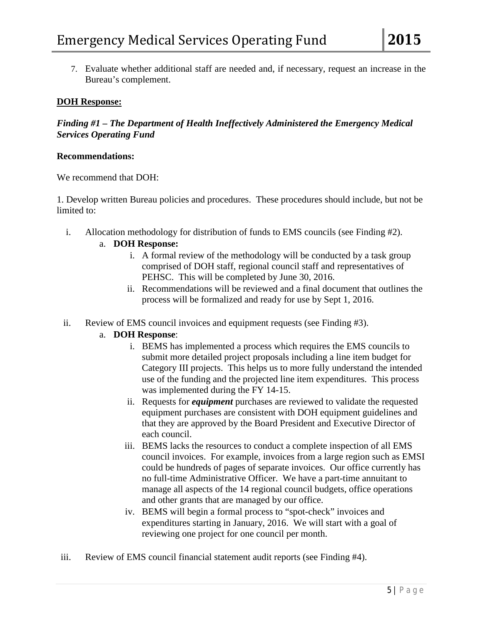7. Evaluate whether additional staff are needed and, if necessary, request an increase in the Bureau's complement.

#### **DOH Response:**

*Finding #1 – The Department of Health Ineffectively Administered the Emergency Medical Services Operating Fund* 

#### **Recommendations:**

We recommend that DOH:

1. Develop written Bureau policies and procedures. These procedures should include, but not be limited to:

i. Allocation methodology for distribution of funds to EMS councils (see Finding #2).

### a. **DOH Response:**

- i. A formal review of the methodology will be conducted by a task group comprised of DOH staff, regional council staff and representatives of PEHSC. This will be completed by June 30, 2016.
- ii. Recommendations will be reviewed and a final document that outlines the process will be formalized and ready for use by Sept 1, 2016.
- ii. Review of EMS council invoices and equipment requests (see Finding #3).

# a. **DOH Response**:

- i. BEMS has implemented a process which requires the EMS councils to submit more detailed project proposals including a line item budget for Category III projects. This helps us to more fully understand the intended use of the funding and the projected line item expenditures. This process was implemented during the FY 14-15.
- ii. Requests for *equipment* purchases are reviewed to validate the requested equipment purchases are consistent with DOH equipment guidelines and that they are approved by the Board President and Executive Director of each council.
- iii. BEMS lacks the resources to conduct a complete inspection of all EMS council invoices. For example, invoices from a large region such as EMSI could be hundreds of pages of separate invoices. Our office currently has no full-time Administrative Officer. We have a part-time annuitant to manage all aspects of the 14 regional council budgets, office operations and other grants that are managed by our office.
- iv. BEMS will begin a formal process to "spot-check" invoices and expenditures starting in January, 2016. We will start with a goal of reviewing one project for one council per month.
- iii. Review of EMS council financial statement audit reports (see Finding #4).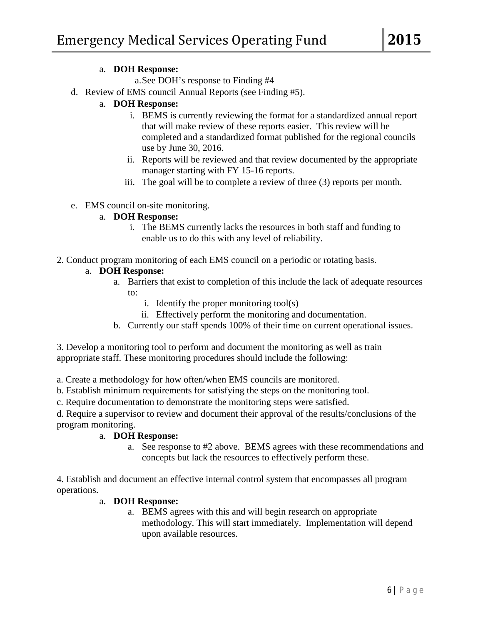#### a. **DOH Response:**

a.See DOH's response to Finding #4

d. Review of EMS council Annual Reports (see Finding #5).

# a. **DOH Response:**

- i. BEMS is currently reviewing the format for a standardized annual report that will make review of these reports easier. This review will be completed and a standardized format published for the regional councils use by June 30, 2016.
- ii. Reports will be reviewed and that review documented by the appropriate manager starting with FY 15-16 reports.
- iii. The goal will be to complete a review of three (3) reports per month.
- e. EMS council on-site monitoring.

### a. **DOH Response:**

- i. The BEMS currently lacks the resources in both staff and funding to enable us to do this with any level of reliability.
- 2. Conduct program monitoring of each EMS council on a periodic or rotating basis.

### a. **DOH Response:**

- a. Barriers that exist to completion of this include the lack of adequate resources to:
	- i. Identify the proper monitoring tool(s)
	- ii. Effectively perform the monitoring and documentation.
- b. Currently our staff spends 100% of their time on current operational issues.

3. Develop a monitoring tool to perform and document the monitoring as well as train appropriate staff. These monitoring procedures should include the following:

a. Create a methodology for how often/when EMS councils are monitored.

b. Establish minimum requirements for satisfying the steps on the monitoring tool.

c. Require documentation to demonstrate the monitoring steps were satisfied.

d. Require a supervisor to review and document their approval of the results/conclusions of the program monitoring.

#### a. **DOH Response:**

a. See response to #2 above. BEMS agrees with these recommendations and concepts but lack the resources to effectively perform these.

4. Establish and document an effective internal control system that encompasses all program operations.

# a. **DOH Response:**

a. BEMS agrees with this and will begin research on appropriate methodology. This will start immediately. Implementation will depend upon available resources.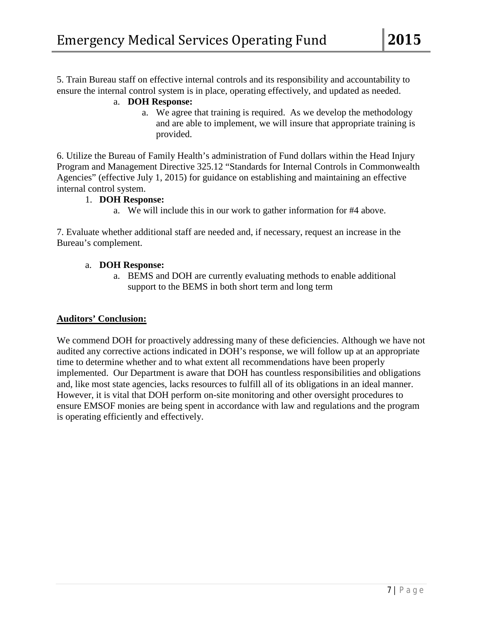5. Train Bureau staff on effective internal controls and its responsibility and accountability to ensure the internal control system is in place, operating effectively, and updated as needed.

# a. **DOH Response:**

a. We agree that training is required. As we develop the methodology and are able to implement, we will insure that appropriate training is provided.

6. Utilize the Bureau of Family Health's administration of Fund dollars within the Head Injury Program and Management Directive 325.12 "Standards for Internal Controls in Commonwealth Agencies" (effective July 1, 2015) for guidance on establishing and maintaining an effective internal control system.

### 1. **DOH Response:**

a. We will include this in our work to gather information for #4 above.

7. Evaluate whether additional staff are needed and, if necessary, request an increase in the Bureau's complement.

### a. **DOH Response:**

a. BEMS and DOH are currently evaluating methods to enable additional support to the BEMS in both short term and long term

# **Auditors' Conclusion:**

We commend DOH for proactively addressing many of these deficiencies. Although we have not audited any corrective actions indicated in DOH's response, we will follow up at an appropriate time to determine whether and to what extent all recommendations have been properly implemented. Our Department is aware that DOH has countless responsibilities and obligations and, like most state agencies, lacks resources to fulfill all of its obligations in an ideal manner. However, it is vital that DOH perform on-site monitoring and other oversight procedures to ensure EMSOF monies are being spent in accordance with law and regulations and the program is operating efficiently and effectively.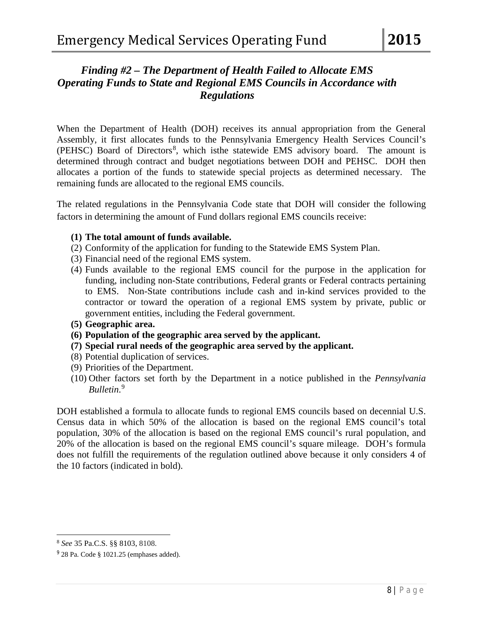# *Finding #2 – The Department of Health Failed to Allocate EMS Operating Funds to State and Regional EMS Councils in Accordance with Regulations*

When the Department of Health (DOH) receives its annual appropriation from the General Assembly, it first allocates funds to the Pennsylvania Emergency Health Services Council's (PEHSC) Board of Directors<sup>[8](#page-11-0)</sup>, which isthe statewide EMS advisory board. The amount is determined through contract and budget negotiations between DOH and PEHSC. DOH then allocates a portion of the funds to statewide special projects as determined necessary. The remaining funds are allocated to the regional EMS councils.

The related regulations in the Pennsylvania Code state that DOH will consider the following factors in determining the amount of Fund dollars regional EMS councils receive:

### **(1) The total amount of funds available.**

- (2) Conformity of the application for funding to the Statewide EMS System Plan.
- (3) Financial need of the regional EMS system.
- (4) Funds available to the regional EMS council for the purpose in the application for funding, including non-State contributions, Federal grants or Federal contracts pertaining to EMS. Non-State contributions include cash and in-kind services provided to the contractor or toward the operation of a regional EMS system by private, public or government entities, including the Federal government.
- **(5) Geographic area.**
- **(6) Population of the geographic area served by the applicant.**
- **(7) Special rural needs of the geographic area served by the applicant.**
- (8) Potential duplication of services.
- (9) Priorities of the Department.
- (10) Other factors set forth by the Department in a notice published in the *Pennsylvania Bulletin*. [9](#page-11-1)

DOH established a formula to allocate funds to regional EMS councils based on decennial U.S. Census data in which 50% of the allocation is based on the regional EMS council's total population, 30% of the allocation is based on the regional EMS council's rural population, and 20% of the allocation is based on the regional EMS council's square mileage. DOH's formula does not fulfill the requirements of the regulation outlined above because it only considers 4 of the 10 factors (indicated in bold).

<span id="page-11-0"></span>l <sup>8</sup> *See* 35 Pa.C.S. §§ 8103, 8108.

<span id="page-11-1"></span> $9$  28 Pa. Code § 1021.25 (emphases added).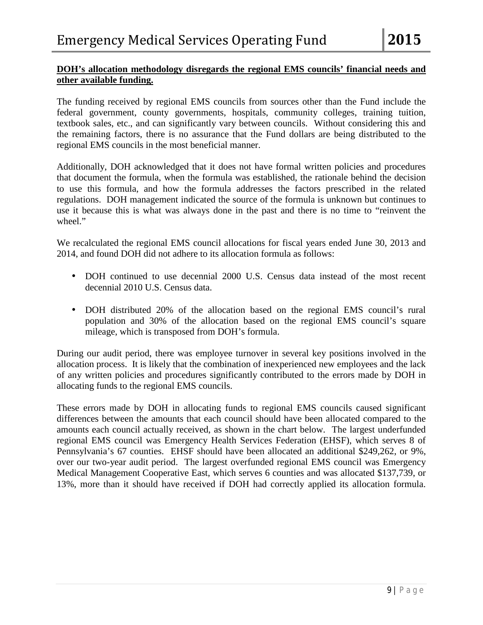# **DOH's allocation methodology disregards the regional EMS councils' financial needs and other available funding.**

The funding received by regional EMS councils from sources other than the Fund include the federal government, county governments, hospitals, community colleges, training tuition, textbook sales, etc., and can significantly vary between councils. Without considering this and the remaining factors, there is no assurance that the Fund dollars are being distributed to the regional EMS councils in the most beneficial manner.

Additionally, DOH acknowledged that it does not have formal written policies and procedures that document the formula, when the formula was established, the rationale behind the decision to use this formula, and how the formula addresses the factors prescribed in the related regulations. DOH management indicated the source of the formula is unknown but continues to use it because this is what was always done in the past and there is no time to "reinvent the wheel."

We recalculated the regional EMS council allocations for fiscal years ended June 30, 2013 and 2014, and found DOH did not adhere to its allocation formula as follows:

- DOH continued to use decennial 2000 U.S. Census data instead of the most recent a. decennial 2010 U.S. Census data.
- DOH distributed 20% of the allocation based on the regional EMS council's rural population and 30% of the allocation based on the regional EMS council's square mileage, which is transposed from DOH's formula.

During our audit period, there was employee turnover in several key positions involved in the allocation process. It is likely that the combination of inexperienced new employees and the lack of any written policies and procedures significantly contributed to the errors made by DOH in allocating funds to the regional EMS councils.

These errors made by DOH in allocating funds to regional EMS councils caused significant differences between the amounts that each council should have been allocated compared to the amounts each council actually received, as shown in the chart below. The largest underfunded regional EMS council was Emergency Health Services Federation (EHSF), which serves 8 of Pennsylvania's 67 counties. EHSF should have been allocated an additional \$249,262, or 9%, over our two-year audit period. The largest overfunded regional EMS council was Emergency Medical Management Cooperative East, which serves 6 counties and was allocated \$137,739, or 13%, more than it should have received if DOH had correctly applied its allocation formula.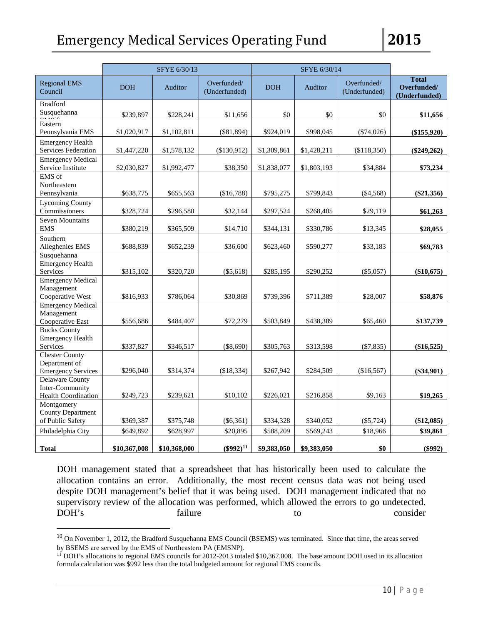|                                                                         | SFYE 6/30/13 |              |                              | SFYE 6/30/14 |             |                              |                                              |
|-------------------------------------------------------------------------|--------------|--------------|------------------------------|--------------|-------------|------------------------------|----------------------------------------------|
| <b>Regional EMS</b><br>Council                                          | <b>DOH</b>   | Auditor      | Overfunded/<br>(Underfunded) | <b>DOH</b>   | Auditor     | Overfunded/<br>(Underfunded) | <b>Total</b><br>Overfunded/<br>(Underfunded) |
| <b>Bradford</b><br>Susquehanna                                          | \$239,897    | \$228,241    | \$11,656                     | \$0          | \$0         | \$0                          | \$11,656                                     |
| Eastern<br>Pennsylvania EMS                                             | \$1,020,917  | \$1,102,811  | $(\$81,894)$                 | \$924,019    | \$998,045   | $(\$74,026)$                 | (\$155,920)                                  |
| <b>Emergency Health</b><br>Services Federation                          | \$1,447,220  | \$1,578,132  | (\$130,912)                  | \$1,309,861  | \$1,428,211 | (\$118,350)                  | $(\$249,262)$                                |
| <b>Emergency Medical</b><br>Service Institute                           | \$2,030,827  | \$1,992,477  | \$38,350                     | \$1,838,077  | \$1,803,193 | \$34,884                     | \$73,234                                     |
| EMS of<br>Northeastern<br>Pennsylvania                                  | \$638,775    | \$655,563    | (\$16,788)                   | \$795,275    | \$799,843   | $(\$4,568)$                  | $(\$21,356)$                                 |
| <b>Lycoming County</b><br>Commissioners                                 | \$328,724    | \$296,580    | \$32,144                     | \$297,524    | \$268,405   | \$29,119                     | \$61,263                                     |
| Seven Mountains<br><b>EMS</b>                                           | \$380,219    | \$365,509    | \$14,710                     | \$344,131    | \$330,786   | \$13,345                     | \$28,055                                     |
| Southern<br>Alleghenies EMS                                             | \$688,839    | \$652,239    | \$36,600                     | \$623,460    | \$590,277   | \$33,183                     | \$69,783                                     |
| Susquehanna<br><b>Emergency Health</b><br>Services                      | \$315,102    | \$320,720    | (\$5,618)                    | \$285,195    | \$290,252   | $(\$5,057)$                  | $(\$10,675)$                                 |
| <b>Emergency Medical</b><br>Management<br>Cooperative West              | \$816,933    | \$786,064    | \$30,869                     | \$739,396    | \$711,389   | \$28,007                     | \$58,876                                     |
| <b>Emergency Medical</b><br>Management<br>Cooperative East              | \$556,686    | \$484,407    | \$72,279                     | \$503,849    | \$438,389   | \$65,460                     | \$137,739                                    |
| <b>Bucks County</b><br><b>Emergency Health</b><br>Services              | \$337,827    | \$346,517    | $(\$8,690)$                  | \$305,763    | \$313,598   | $(\$7,835)$                  | $(\$16,525)$                                 |
| <b>Chester County</b><br>Department of<br><b>Emergency Services</b>     | \$296,040    | \$314,374    | (\$18,334)                   | \$267,942    | \$284,509   | (\$16,567)                   | $(\$34,901)$                                 |
| <b>Delaware County</b><br>Inter-Community<br><b>Health Coordination</b> | \$249,723    | \$239,621    | \$10,102                     | \$226,021    | \$216,858   | \$9,163                      | \$19,265                                     |
| Montgomery<br><b>County Department</b><br>of Public Safety              | \$369,387    | \$375,748    | $(\$6,361)$                  | \$334,328    | \$340,052   | $(\$5,724)$                  | $(\$12,085)$                                 |
| Philadelphia City                                                       | \$649,892    | \$628,997    | \$20,895                     | \$588,209    | \$569,243   | \$18,966                     | \$39,861                                     |
| <b>Total</b>                                                            | \$10,367,008 | \$10,368,000 | $(\$992)^{11}$               | \$9,383,050  | \$9,383,050 | \$0                          | $(\$992)$                                    |

DOH management stated that a spreadsheet that has historically been used to calculate the allocation contains an error. Additionally, the most recent census data was not being used despite DOH management's belief that it was being used. DOH management indicated that no supervisory review of the allocation was performed, which allowed the errors to go undetected. DOH's failure to consider

<sup>&</sup>lt;sup>10</sup> On November 1, 2012, the Bradford Susquehanna EMS Council (BSEMS) was terminated. Since that time, the areas served by BSEMS are served by the EMS of Northeastern PA (EMSNP).

<span id="page-13-0"></span><sup>&</sup>lt;sup>11</sup> DOH's allocations to regional EMS councils for 2012-2013 totaled \$10,367,008. The base amount DOH used in its allocation formula calculation was \$992 less than the total budgeted amount for regional EMS councils.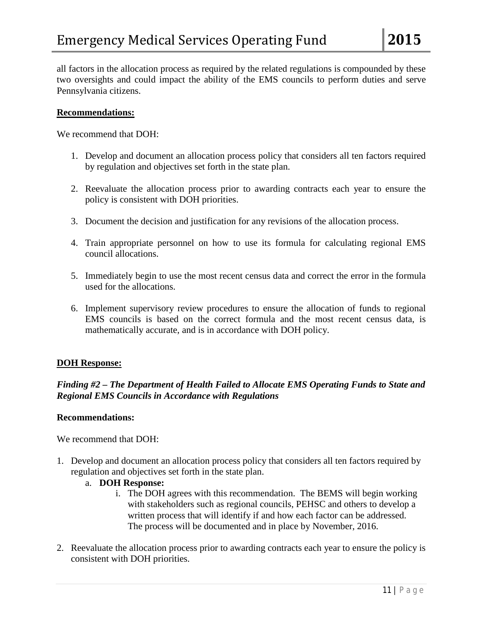all factors in the allocation process as required by the related regulations is compounded by these two oversights and could impact the ability of the EMS councils to perform duties and serve Pennsylvania citizens.

#### **Recommendations:**

We recommend that DOH:

- 1. Develop and document an allocation process policy that considers all ten factors required by regulation and objectives set forth in the state plan.
- 2. Reevaluate the allocation process prior to awarding contracts each year to ensure the policy is consistent with DOH priorities.
- 3. Document the decision and justification for any revisions of the allocation process.
- 4. Train appropriate personnel on how to use its formula for calculating regional EMS council allocations.
- 5. Immediately begin to use the most recent census data and correct the error in the formula used for the allocations.
- 6. Implement supervisory review procedures to ensure the allocation of funds to regional EMS councils is based on the correct formula and the most recent census data, is mathematically accurate, and is in accordance with DOH policy.

#### **DOH Response:**

# *Finding #2 – The Department of Health Failed to Allocate EMS Operating Funds to State and Regional EMS Councils in Accordance with Regulations*

#### **Recommendations:**

We recommend that DOH:

- 1. Develop and document an allocation process policy that considers all ten factors required by regulation and objectives set forth in the state plan.
	- a. **DOH Response:**
		- i. The DOH agrees with this recommendation. The BEMS will begin working with stakeholders such as regional councils, PEHSC and others to develop a written process that will identify if and how each factor can be addressed. The process will be documented and in place by November, 2016.
- 2. Reevaluate the allocation process prior to awarding contracts each year to ensure the policy is consistent with DOH priorities.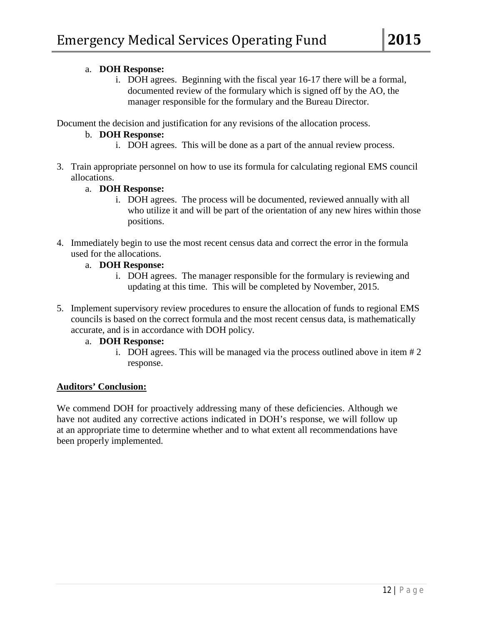### a. **DOH Response:**

i. DOH agrees. Beginning with the fiscal year 16-17 there will be a formal, documented review of the formulary which is signed off by the AO, the manager responsible for the formulary and the Bureau Director.

Document the decision and justification for any revisions of the allocation process.

# b. **DOH Response:**

- i. DOH agrees. This will be done as a part of the annual review process.
- 3. Train appropriate personnel on how to use its formula for calculating regional EMS council allocations.

### a. **DOH Response:**

- i. DOH agrees. The process will be documented, reviewed annually with all who utilize it and will be part of the orientation of any new hires within those positions.
- 4. Immediately begin to use the most recent census data and correct the error in the formula used for the allocations.
	- a. **DOH Response:**
		- i. DOH agrees. The manager responsible for the formulary is reviewing and updating at this time. This will be completed by November, 2015.
- 5. Implement supervisory review procedures to ensure the allocation of funds to regional EMS councils is based on the correct formula and the most recent census data, is mathematically accurate, and is in accordance with DOH policy.
	- a. **DOH Response:**
		- i. DOH agrees. This will be managed via the process outlined above in item # 2 response.

# **Auditors' Conclusion:**

We commend DOH for proactively addressing many of these deficiencies. Although we have not audited any corrective actions indicated in DOH's response, we will follow up at an appropriate time to determine whether and to what extent all recommendations have been properly implemented.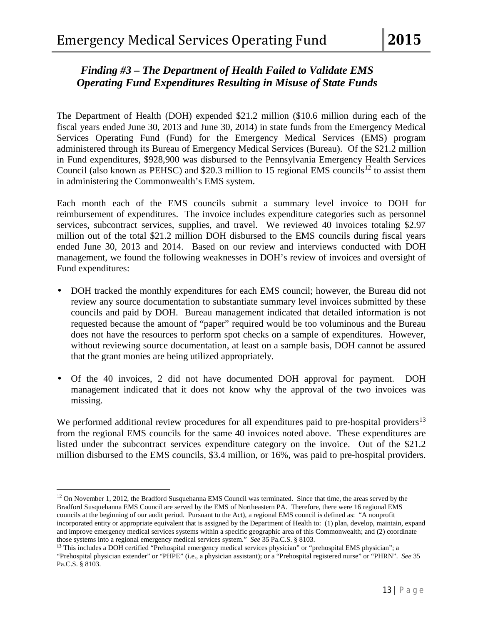# *Finding #3 – The Department of Health Failed to Validate EMS Operating Fund Expenditures Resulting in Misuse of State Funds*

The Department of Health (DOH) expended \$21.2 million (\$10.6 million during each of the fiscal years ended June 30, 2013 and June 30, 2014) in state funds from the Emergency Medical Services Operating Fund (Fund) for the Emergency Medical Services (EMS) program administered through its Bureau of Emergency Medical Services (Bureau). Of the \$21.2 million in Fund expenditures, \$928,900 was disbursed to the Pennsylvania Emergency Health Services Council (also known as PEHSC) and \$20.3 million to 15 regional EMS councils<sup>[12](#page-16-0)</sup> to assist them in administering the Commonwealth's EMS system.

Each month each of the EMS councils submit a summary level invoice to DOH for reimbursement of expenditures. The invoice includes expenditure categories such as personnel services, subcontract services, supplies, and travel. We reviewed 40 invoices totaling \$2.97 million out of the total \$21.2 million DOH disbursed to the EMS councils during fiscal years ended June 30, 2013 and 2014. Based on our review and interviews conducted with DOH management, we found the following weaknesses in DOH's review of invoices and oversight of Fund expenditures:

- DOH tracked the monthly expenditures for each EMS council; however, the Bureau did not review any source documentation to substantiate summary level invoices submitted by these councils and paid by DOH. Bureau management indicated that detailed information is not requested because the amount of "paper" required would be too voluminous and the Bureau does not have the resources to perform spot checks on a sample of expenditures. However, without reviewing source documentation, at least on a sample basis, DOH cannot be assured that the grant monies are being utilized appropriately.
- Of the 40 invoices, 2 did not have documented DOH approval for payment. DOH management indicated that it does not know why the approval of the two invoices was missing.

We performed additional review procedures for all expenditures paid to pre-hospital providers<sup>[13](#page-16-1)</sup> from the regional EMS councils for the same 40 invoices noted above. These expenditures are listed under the subcontract services expenditure category on the invoice. Out of the \$21.2 million disbursed to the EMS councils, \$3.4 million, or 16%, was paid to pre-hospital providers.

l

<span id="page-16-0"></span> $12$  On November 1, 2012, the Bradford Susquehanna EMS Council was terminated. Since that time, the areas served by the Bradford Susquehanna EMS Council are served by the EMS of Northeastern PA. Therefore, there were 16 regional EMS councils at the beginning of our audit period. Pursuant to the Act), a regional EMS council is defined as: "A nonprofit incorporated entity or appropriate equivalent that is assigned by the Department of Health to: (1) plan, develop, maintain, expand and improve emergency medical services systems within a specific geographic area of this Commonwealth; and (2) coordinate those systems into a regional emergency medical services system." *See* 35 Pa.C.S. § 8103.

<span id="page-16-1"></span>**<sup>13</sup>** This includes a DOH certified "Prehospital emergency medical services physician" or "prehospital EMS physician"; a "Prehospital physician extender" or "PHPE" (i.e., a physician assistant); or a "Prehospital registered nurse" or "PHRN". *See* 35 Pa.C.S. § 8103.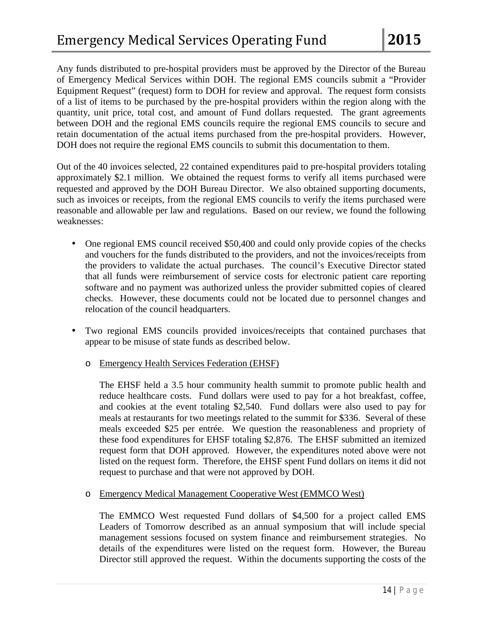Any funds distributed to pre-hospital providers must be approved by the Director of the Bureau of Emergency Medical Services within DOH. The regional EMS councils submit a "Provider Equipment Request" (request) form to DOH for review and approval. The request form consists of a list of items to be purchased by the pre-hospital providers within the region along with the quantity, unit price, total cost, and amount of Fund dollars requested. The grant agreements between DOH and the regional EMS councils require the regional EMS councils to secure and retain documentation of the actual items purchased from the pre-hospital providers. However, DOH does not require the regional EMS councils to submit this documentation to them.

Out of the 40 invoices selected, 22 contained expenditures paid to pre-hospital providers totaling approximately \$2.1 million. We obtained the request forms to verify all items purchased were requested and approved by the DOH Bureau Director. We also obtained supporting documents, such as invoices or receipts, from the regional EMS councils to verify the items purchased were reasonable and allowable per law and regulations. Based on our review, we found the following weaknesses:

- One regional EMS council received \$50,400 and could only provide copies of the checks and vouchers for the funds distributed to the providers, and not the invoices/receipts from the providers to validate the actual purchases. The council's Executive Director stated that all funds were reimbursement of service costs for electronic patient care reporting software and no payment was authorized unless the provider submitted copies of cleared checks. However, these documents could not be located due to personnel changes and relocation of the council headquarters.
- Two regional EMS councils provided invoices/receipts that contained purchases that appear to be misuse of state funds as described below.
	- o Emergency Health Services Federation (EHSF)

The EHSF held a 3.5 hour community health summit to promote public health and reduce healthcare costs. Fund dollars were used to pay for a hot breakfast, coffee, and cookies at the event totaling \$2,540. Fund dollars were also used to pay for meals at restaurants for two meetings related to the summit for \$336. Several of these meals exceeded \$25 per entrée. We question the reasonableness and propriety of these food expenditures for EHSF totaling \$2,876. The EHSF submitted an itemized request form that DOH approved. However, the expenditures noted above were not listed on the request form. Therefore, the EHSF spent Fund dollars on items it did not request to purchase and that were not approved by DOH.

o Emergency Medical Management Cooperative West (EMMCO West)

The EMMCO West requested Fund dollars of \$4,500 for a project called EMS Leaders of Tomorrow described as an annual symposium that will include special management sessions focused on system finance and reimbursement strategies. No details of the expenditures were listed on the request form. However, the Bureau Director still approved the request. Within the documents supporting the costs of the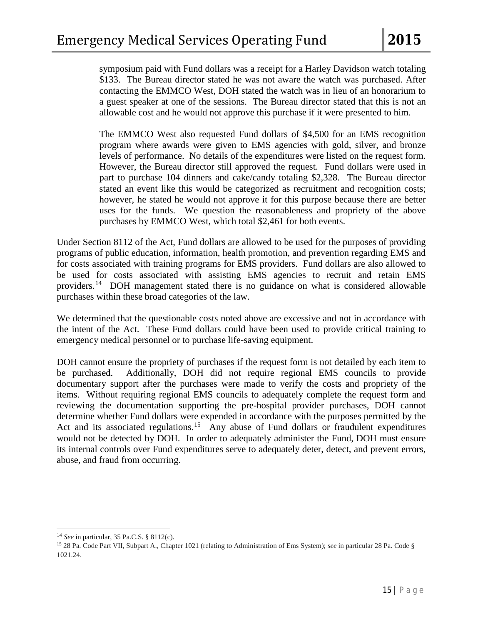symposium paid with Fund dollars was a receipt for a Harley Davidson watch totaling \$133. The Bureau director stated he was not aware the watch was purchased. After contacting the EMMCO West, DOH stated the watch was in lieu of an honorarium to a guest speaker at one of the sessions. The Bureau director stated that this is not an allowable cost and he would not approve this purchase if it were presented to him.

The EMMCO West also requested Fund dollars of \$4,500 for an EMS recognition program where awards were given to EMS agencies with gold, silver, and bronze levels of performance. No details of the expenditures were listed on the request form. However, the Bureau director still approved the request. Fund dollars were used in part to purchase 104 dinners and cake/candy totaling \$2,328. The Bureau director stated an event like this would be categorized as recruitment and recognition costs; however, he stated he would not approve it for this purpose because there are better uses for the funds. We question the reasonableness and propriety of the above purchases by EMMCO West, which total \$2,461 for both events.

Under Section 8112 of the Act, Fund dollars are allowed to be used for the purposes of providing programs of public education, information, health promotion, and prevention regarding EMS and for costs associated with training programs for EMS providers. Fund dollars are also allowed to be used for costs associated with assisting EMS agencies to recruit and retain EMS providers.<sup>[14](#page-18-0)</sup> DOH management stated there is no guidance on what is considered allowable purchases within these broad categories of the law.

We determined that the questionable costs noted above are excessive and not in accordance with the intent of the Act. These Fund dollars could have been used to provide critical training to emergency medical personnel or to purchase life-saving equipment.

DOH cannot ensure the propriety of purchases if the request form is not detailed by each item to be purchased. Additionally, DOH did not require regional EMS councils to provide documentary support after the purchases were made to verify the costs and propriety of the items. Without requiring regional EMS councils to adequately complete the request form and reviewing the documentation supporting the pre-hospital provider purchases, DOH cannot determine whether Fund dollars were expended in accordance with the purposes permitted by the Act and its associated regulations.<sup>[15](#page-18-1)</sup> Any abuse of Fund dollars or fraudulent expenditures would not be detected by DOH. In order to adequately administer the Fund, DOH must ensure its internal controls over Fund expenditures serve to adequately deter, detect, and prevent errors, abuse, and fraud from occurring.

l

<span id="page-18-0"></span><sup>14</sup> *See* in particular*,* 35 Pa.C.S. § 8112(c).

<span id="page-18-1"></span><sup>15</sup> 28 Pa. Code Part VII, Subpart A., Chapter 1021 (relating to Administration of Ems System); *see* in particular 28 Pa. Code § 1021.24.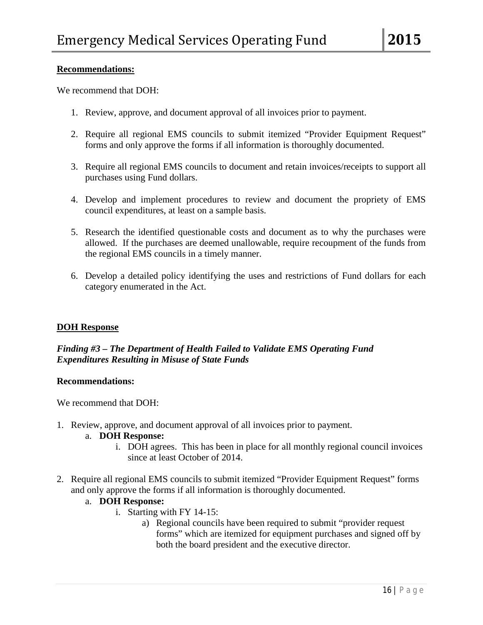#### **Recommendations:**

We recommend that DOH:

- 1. Review, approve, and document approval of all invoices prior to payment.
- 2. Require all regional EMS councils to submit itemized "Provider Equipment Request" forms and only approve the forms if all information is thoroughly documented.
- 3. Require all regional EMS councils to document and retain invoices/receipts to support all purchases using Fund dollars.
- 4. Develop and implement procedures to review and document the propriety of EMS council expenditures, at least on a sample basis.
- 5. Research the identified questionable costs and document as to why the purchases were allowed. If the purchases are deemed unallowable, require recoupment of the funds from the regional EMS councils in a timely manner.
- 6. Develop a detailed policy identifying the uses and restrictions of Fund dollars for each category enumerated in the Act.

#### **DOH Response**

# *Finding #3 – The Department of Health Failed to Validate EMS Operating Fund Expenditures Resulting in Misuse of State Funds*

#### **Recommendations:**

We recommend that DOH:

1. Review, approve, and document approval of all invoices prior to payment.

#### a. **DOH Response:**

- i. DOH agrees. This has been in place for all monthly regional council invoices since at least October of 2014.
- 2. Require all regional EMS councils to submit itemized "Provider Equipment Request" forms and only approve the forms if all information is thoroughly documented.

#### a. **DOH Response:**

- i. Starting with FY 14-15:
	- a) Regional councils have been required to submit "provider request forms" which are itemized for equipment purchases and signed off by both the board president and the executive director.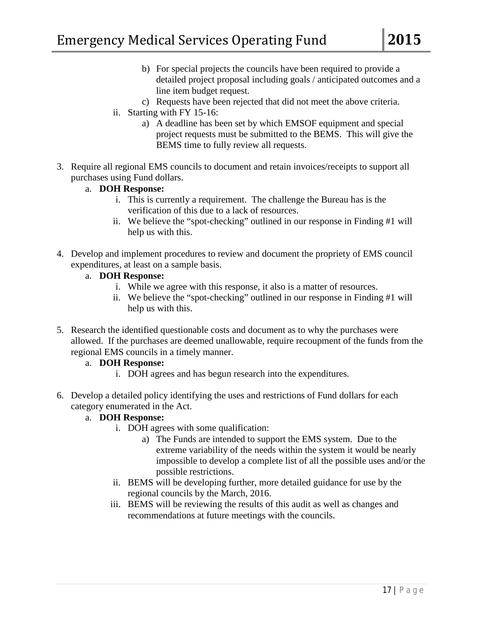- b) For special projects the councils have been required to provide a detailed project proposal including goals / anticipated outcomes and a line item budget request.
- c) Requests have been rejected that did not meet the above criteria.
- ii. Starting with FY 15-16:
	- a) A deadline has been set by which EMSOF equipment and special project requests must be submitted to the BEMS. This will give the BEMS time to fully review all requests.
- 3. Require all regional EMS councils to document and retain invoices/receipts to support all purchases using Fund dollars.
	- a. **DOH Response:**
		- i. This is currently a requirement. The challenge the Bureau has is the verification of this due to a lack of resources.
		- ii. We believe the "spot-checking" outlined in our response in Finding #1 will help us with this.
- 4. Develop and implement procedures to review and document the propriety of EMS council expenditures, at least on a sample basis.
	- a. **DOH Response:**
		- i. While we agree with this response, it also is a matter of resources.
		- ii. We believe the "spot-checking" outlined in our response in Finding #1 will help us with this.
- 5. Research the identified questionable costs and document as to why the purchases were allowed. If the purchases are deemed unallowable, require recoupment of the funds from the regional EMS councils in a timely manner.
	- a. **DOH Response:**
		- i. DOH agrees and has begun research into the expenditures.
- 6. Develop a detailed policy identifying the uses and restrictions of Fund dollars for each category enumerated in the Act.
	- a. **DOH Response:**
		- i. DOH agrees with some qualification:
			- a) The Funds are intended to support the EMS system. Due to the extreme variability of the needs within the system it would be nearly impossible to develop a complete list of all the possible uses and/or the possible restrictions.
		- ii. BEMS will be developing further, more detailed guidance for use by the regional councils by the March, 2016.
		- iii. BEMS will be reviewing the results of this audit as well as changes and recommendations at future meetings with the councils.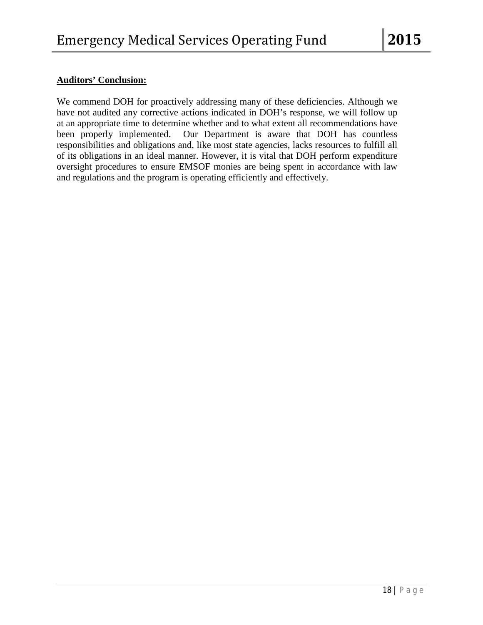# **Auditors' Conclusion:**

We commend DOH for proactively addressing many of these deficiencies. Although we have not audited any corrective actions indicated in DOH's response, we will follow up at an appropriate time to determine whether and to what extent all recommendations have been properly implemented. Our Department is aware that DOH has countless responsibilities and obligations and, like most state agencies, lacks resources to fulfill all of its obligations in an ideal manner. However, it is vital that DOH perform expenditure oversight procedures to ensure EMSOF monies are being spent in accordance with law and regulations and the program is operating efficiently and effectively.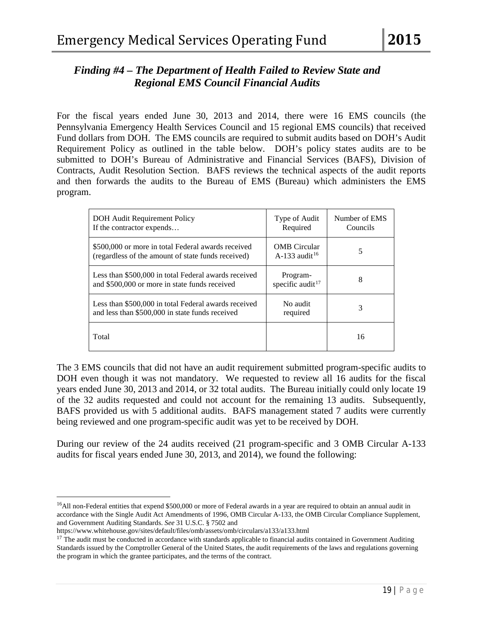# *Finding #4 – The Department of Health Failed to Review State and Regional EMS Council Financial Audits*

For the fiscal years ended June 30, 2013 and 2014, there were 16 EMS councils (the Pennsylvania Emergency Health Services Council and 15 regional EMS councils) that received Fund dollars from DOH. The EMS councils are required to submit audits based on DOH's Audit Requirement Policy as outlined in the table below. DOH's policy states audits are to be submitted to DOH's Bureau of Administrative and Financial Services (BAFS), Division of Contracts, Audit Resolution Section. BAFS reviews the technical aspects of the audit reports and then forwards the audits to the Bureau of EMS (Bureau) which administers the EMS program.

| DOH Audit Requirement Policy<br>If the contractor expends                                                | Type of Audit<br>Required                        | Number of EMS<br>Councils |
|----------------------------------------------------------------------------------------------------------|--------------------------------------------------|---------------------------|
| \$500,000 or more in total Federal awards received<br>(regardless of the amount of state funds received) | <b>OMB</b> Circular<br>A-133 audit <sup>16</sup> | 5                         |
| Less than \$500,000 in total Federal awards received<br>and \$500,000 or more in state funds received    | Program-<br>specific audit $17$                  | 8                         |
| Less than \$500,000 in total Federal awards received<br>and less than \$500,000 in state funds received  | No audit<br>required                             | 3                         |
| Total                                                                                                    |                                                  | 16                        |

The 3 EMS councils that did not have an audit requirement submitted program-specific audits to DOH even though it was not mandatory. We requested to review all 16 audits for the fiscal years ended June 30, 2013 and 2014, or 32 total audits. The Bureau initially could only locate 19 of the 32 audits requested and could not account for the remaining 13 audits. Subsequently, BAFS provided us with 5 additional audits. BAFS management stated 7 audits were currently being reviewed and one program-specific audit was yet to be received by DOH.

During our review of the 24 audits received (21 program-specific and 3 OMB Circular A-133 audits for fiscal years ended June 30, 2013, and 2014), we found the following:

```
https://www.whitehouse.gov/sites/default/files/omb/assets/omb/circulars/a133/a133.html
```
 $\overline{\phantom{a}}$ 

<span id="page-22-0"></span><sup>&</sup>lt;sup>16</sup>All non-Federal entities that expend \$500,000 or more of Federal awards in a year are required to obtain an annual audit in accordance with th[e Single Audit Act Amendments of 1996,](https://www.whitehouse.gov/sites/default/files/omb/assets/about_omb/104-156.pdf) [OMB Circular A-133,](https://www.whitehouse.gov/omb/circulars_a133/) th[e OMB Circular Compliance Supplement,](https://www.whitehouse.gov/omb/circulars_a133_compliance_09toc/)  [and Government Auditing Standards.](https://www.whitehouse.gov/omb/circulars_a133_compliance_09toc/) *See* 31 U.S.C. § 7502 and

<span id="page-22-1"></span> $17$  The audit must be conducted in accordance with standards applicable to financial audits contained in Government Auditing Standards issued by the Comptroller General of the United States, the audit requirements of the laws and regulations governing the program in which the grantee participates, and the terms of the contract.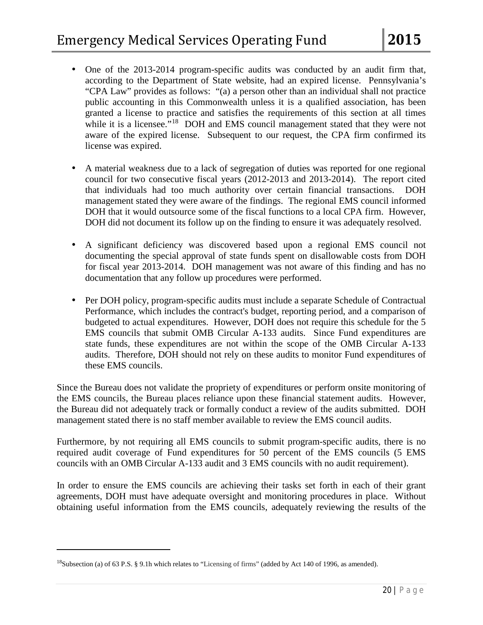- One of the 2013-2014 program-specific audits was conducted by an audit firm that, according to the Department of State website, had an expired license. Pennsylvania's "CPA Law" provides as follows: "(a) a person other than an individual shall not practice public accounting in this Commonwealth unless it is a qualified association, has been granted a license to practice and satisfies the requirements of this section at all times while it is a licensee."<sup>[18](#page-23-0)</sup> DOH and EMS council management stated that they were not aware of the expired license. Subsequent to our request, the CPA firm confirmed its license was expired.
- A material weakness due to a lack of segregation of duties was reported for one regional council for two consecutive fiscal years (2012-2013 and 2013-2014). The report cited that individuals had too much authority over certain financial transactions. DOH management stated they were aware of the findings. The regional EMS council informed DOH that it would outsource some of the fiscal functions to a local CPA firm. However, DOH did not document its follow up on the finding to ensure it was adequately resolved.
- A significant deficiency was discovered based upon a regional EMS council not documenting the special approval of state funds spent on disallowable costs from DOH for fiscal year 2013-2014. DOH management was not aware of this finding and has no documentation that any follow up procedures were performed.
- Per DOH policy, program-specific audits must include a separate Schedule of Contractual Performance, which includes the contract's budget, reporting period, and a comparison of budgeted to actual expenditures. However, DOH does not require this schedule for the 5 EMS councils that submit OMB Circular A-133 audits. Since Fund expenditures are state funds, these expenditures are not within the scope of the OMB Circular A-133 audits. Therefore, DOH should not rely on these audits to monitor Fund expenditures of these EMS councils.

Since the Bureau does not validate the propriety of expenditures or perform onsite monitoring of the EMS councils, the Bureau places reliance upon these financial statement audits. However, the Bureau did not adequately track or formally conduct a review of the audits submitted. DOH management stated there is no staff member available to review the EMS council audits.

Furthermore, by not requiring all EMS councils to submit program-specific audits, there is no required audit coverage of Fund expenditures for 50 percent of the EMS councils (5 EMS councils with an OMB Circular A-133 audit and 3 EMS councils with no audit requirement).

In order to ensure the EMS councils are achieving their tasks set forth in each of their grant agreements, DOH must have adequate oversight and monitoring procedures in place. Without obtaining useful information from the EMS councils, adequately reviewing the results of the

 $\overline{\phantom{a}}$ 

<span id="page-23-0"></span><sup>&</sup>lt;sup>18</sup>Subsection (a) of 63 P.S. § 9.1h which relates to "Licensing of firms" (added by Act 140 of 1996, as amended).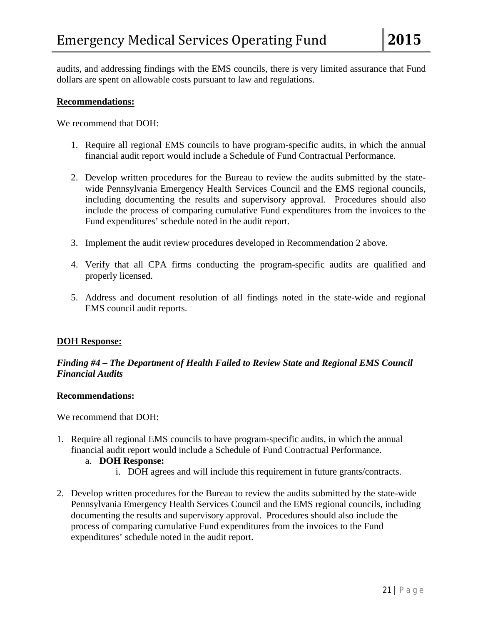audits, and addressing findings with the EMS councils, there is very limited assurance that Fund dollars are spent on allowable costs pursuant to law and regulations.

#### **Recommendations:**

We recommend that DOH:

- 1. Require all regional EMS councils to have program-specific audits, in which the annual financial audit report would include a Schedule of Fund Contractual Performance.
- 2. Develop written procedures for the Bureau to review the audits submitted by the statewide Pennsylvania Emergency Health Services Council and the EMS regional councils, including documenting the results and supervisory approval. Procedures should also include the process of comparing cumulative Fund expenditures from the invoices to the Fund expenditures' schedule noted in the audit report.
- 3. Implement the audit review procedures developed in Recommendation 2 above.
- 4. Verify that all CPA firms conducting the program-specific audits are qualified and properly licensed.
- 5. Address and document resolution of all findings noted in the state-wide and regional EMS council audit reports.

#### **DOH Response:**

#### *Finding #4 – The Department of Health Failed to Review State and Regional EMS Council Financial Audits*

#### **Recommendations:**

We recommend that DOH:

1. Require all regional EMS councils to have program-specific audits, in which the annual financial audit report would include a Schedule of Fund Contractual Performance.

#### a. **DOH Response:**

- i. DOH agrees and will include this requirement in future grants/contracts.
- 2. Develop written procedures for the Bureau to review the audits submitted by the state-wide Pennsylvania Emergency Health Services Council and the EMS regional councils, including documenting the results and supervisory approval. Procedures should also include the process of comparing cumulative Fund expenditures from the invoices to the Fund expenditures' schedule noted in the audit report.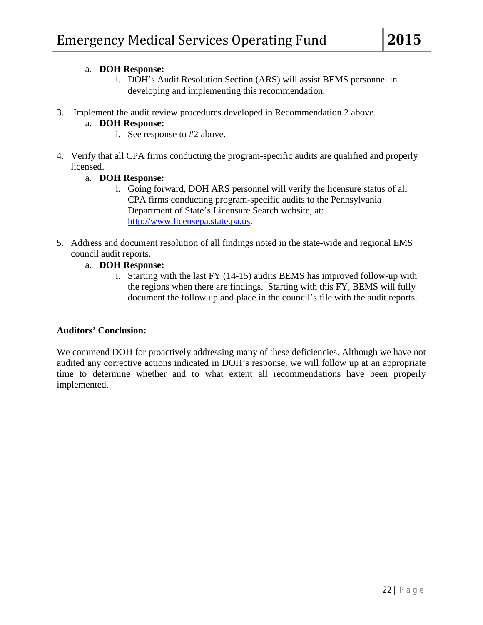### a. **DOH Response:**

- i. DOH's Audit Resolution Section (ARS) will assist BEMS personnel in developing and implementing this recommendation.
- 3. Implement the audit review procedures developed in Recommendation 2 above.

# a. **DOH Response:**

- i. See response to #2 above.
- 4. Verify that all CPA firms conducting the program-specific audits are qualified and properly licensed.

### a. **DOH Response:**

- i. Going forward, DOH ARS personnel will verify the licensure status of all CPA firms conducting program-specific audits to the Pennsylvania Department of State's Licensure Search website, at: [http://www.licensepa.state.pa.us.](http://www.licensepa.state.pa.us/)
- 5. Address and document resolution of all findings noted in the state-wide and regional EMS council audit reports.
	- a. **DOH Response:**
		- i. Starting with the last FY (14-15) audits BEMS has improved follow-up with the regions when there are findings. Starting with this FY, BEMS will fully document the follow up and place in the council's file with the audit reports.

#### **Auditors' Conclusion:**

We commend DOH for proactively addressing many of these deficiencies. Although we have not audited any corrective actions indicated in DOH's response, we will follow up at an appropriate time to determine whether and to what extent all recommendations have been properly implemented.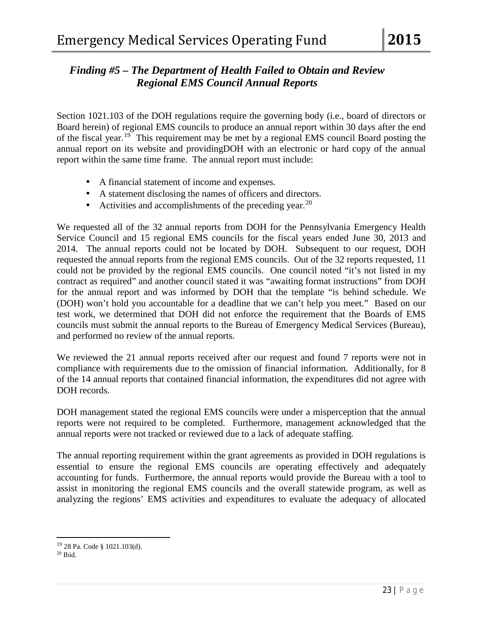# *Finding #5 – The Department of Health Failed to Obtain and Review Regional EMS Council Annual Reports*

Section 1021.103 of the DOH regulations require the governing body (i.e., board of directors or Board herein) of regional EMS councils to produce an annual report within 30 days after the end of the fiscal year.[19](#page-26-0) This requirement may be met by a regional EMS council Board posting the annual report on its website and providingDOH with an electronic or hard copy of the annual report within the same time frame. The annual report must include:

- A financial statement of income and expenses.
- A statement disclosing the names of officers and directors.
- Activities and accomplishments of the preceding year.<sup>[20](#page-26-1)</sup>

We requested all of the 32 annual reports from DOH for the Pennsylvania Emergency Health Service Council and 15 regional EMS councils for the fiscal years ended June 30, 2013 and 2014. The annual reports could not be located by DOH. Subsequent to our request, DOH requested the annual reports from the regional EMS councils. Out of the 32 reports requested, 11 could not be provided by the regional EMS councils. One council noted "it's not listed in my contract as required" and another council stated it was "awaiting format instructions" from DOH for the annual report and was informed by DOH that the template "is behind schedule. We (DOH) won't hold you accountable for a deadline that we can't help you meet." Based on our test work, we determined that DOH did not enforce the requirement that the Boards of EMS councils must submit the annual reports to the Bureau of Emergency Medical Services (Bureau), and performed no review of the annual reports.

We reviewed the 21 annual reports received after our request and found 7 reports were not in compliance with requirements due to the omission of financial information. Additionally, for 8 of the 14 annual reports that contained financial information, the expenditures did not agree with DOH records.

DOH management stated the regional EMS councils were under a misperception that the annual reports were not required to be completed. Furthermore, management acknowledged that the annual reports were not tracked or reviewed due to a lack of adequate staffing.

The annual reporting requirement within the grant agreements as provided in DOH regulations is essential to ensure the regional EMS councils are operating effectively and adequately accounting for funds. Furthermore, the annual reports would provide the Bureau with a tool to assist in monitoring the regional EMS councils and the overall statewide program, as well as analyzing the regions' EMS activities and expenditures to evaluate the adequacy of allocated

 $\overline{\phantom{a}}$ 

<span id="page-26-0"></span><sup>19</sup> 28 Pa. Code § 1021.103(d).

<span id="page-26-1"></span> $20$  Ibid.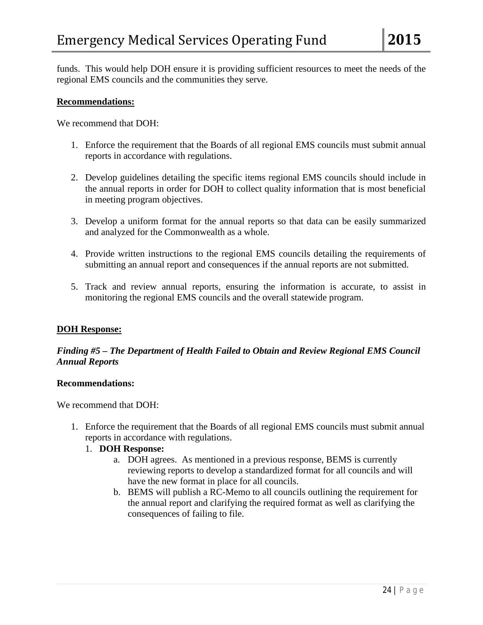funds. This would help DOH ensure it is providing sufficient resources to meet the needs of the regional EMS councils and the communities they serve.

#### **Recommendations:**

We recommend that DOH:

- 1. Enforce the requirement that the Boards of all regional EMS councils must submit annual reports in accordance with regulations.
- 2. Develop guidelines detailing the specific items regional EMS councils should include in the annual reports in order for DOH to collect quality information that is most beneficial in meeting program objectives.
- 3. Develop a uniform format for the annual reports so that data can be easily summarized and analyzed for the Commonwealth as a whole.
- 4. Provide written instructions to the regional EMS councils detailing the requirements of submitting an annual report and consequences if the annual reports are not submitted.
- 5. Track and review annual reports, ensuring the information is accurate, to assist in monitoring the regional EMS councils and the overall statewide program.

#### **DOH Response:**

### *Finding #5 – The Department of Health Failed to Obtain and Review Regional EMS Council Annual Reports*

#### **Recommendations:**

We recommend that DOH:

1. Enforce the requirement that the Boards of all regional EMS councils must submit annual reports in accordance with regulations.

#### 1. **DOH Response:**

- a. DOH agrees. As mentioned in a previous response, BEMS is currently reviewing reports to develop a standardized format for all councils and will have the new format in place for all councils.
- b. BEMS will publish a RC-Memo to all councils outlining the requirement for the annual report and clarifying the required format as well as clarifying the consequences of failing to file.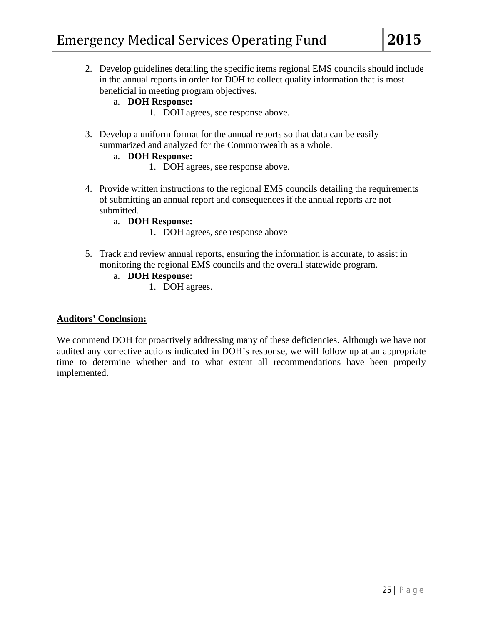2. Develop guidelines detailing the specific items regional EMS councils should include in the annual reports in order for DOH to collect quality information that is most beneficial in meeting program objectives.

# a. **DOH Response:**

- 1. DOH agrees, see response above.
- 3. Develop a uniform format for the annual reports so that data can be easily summarized and analyzed for the Commonwealth as a whole.

# a. **DOH Response:**

- 1. DOH agrees, see response above.
- 4. Provide written instructions to the regional EMS councils detailing the requirements of submitting an annual report and consequences if the annual reports are not submitted.

### a. **DOH Response:**

- 1. DOH agrees, see response above
- 5. Track and review annual reports, ensuring the information is accurate, to assist in monitoring the regional EMS councils and the overall statewide program.

### a. **DOH Response:**

1. DOH agrees.

#### **Auditors' Conclusion:**

We commend DOH for proactively addressing many of these deficiencies. Although we have not audited any corrective actions indicated in DOH's response, we will follow up at an appropriate time to determine whether and to what extent all recommendations have been properly implemented.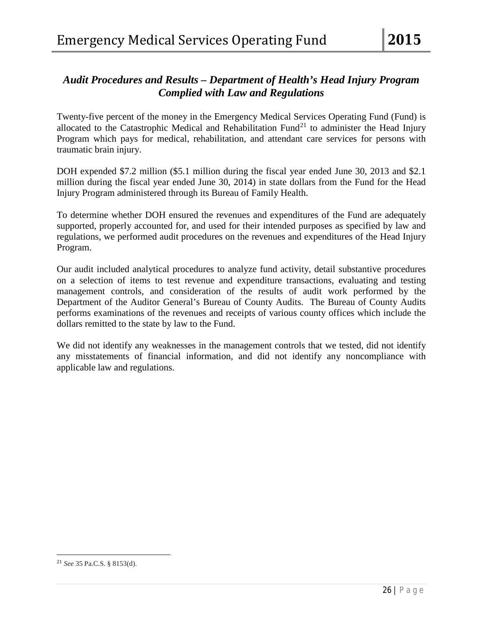# *Audit Procedures and Results – Department of Health's Head Injury Program Complied with Law and Regulations*

Twenty-five percent of the money in the Emergency Medical Services Operating Fund (Fund) is allocated to the Catastrophic Medical and Rehabilitation Fund<sup>[21](#page-29-0)</sup> to administer the Head Injury Program which pays for medical, rehabilitation, and attendant care services for persons with traumatic brain injury.

DOH expended \$7.2 million (\$5.1 million during the fiscal year ended June 30, 2013 and \$2.1 million during the fiscal year ended June 30, 2014) in state dollars from the Fund for the Head Injury Program administered through its Bureau of Family Health.

To determine whether DOH ensured the revenues and expenditures of the Fund are adequately supported, properly accounted for, and used for their intended purposes as specified by law and regulations, we performed audit procedures on the revenues and expenditures of the Head Injury Program.

Our audit included analytical procedures to analyze fund activity, detail substantive procedures on a selection of items to test revenue and expenditure transactions, evaluating and testing management controls, and consideration of the results of audit work performed by the Department of the Auditor General's Bureau of County Audits. The Bureau of County Audits performs examinations of the revenues and receipts of various county offices which include the dollars remitted to the state by law to the Fund.

We did not identify any weaknesses in the management controls that we tested, did not identify any misstatements of financial information, and did not identify any noncompliance with applicable law and regulations.

l

<span id="page-29-0"></span><sup>21</sup> *See* 35 Pa.C.S. § 8153(d).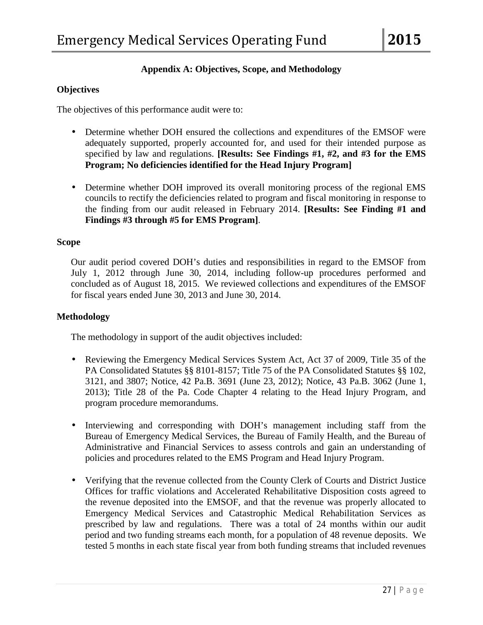### **Appendix A: Objectives, Scope, and Methodology**

#### **Objectives**

The objectives of this performance audit were to:

- Determine whether DOH ensured the collections and expenditures of the EMSOF were adequately supported, properly accounted for, and used for their intended purpose as specified by law and regulations. **[Results: See Findings #1, #2, and #3 for the EMS Program; No deficiencies identified for the Head Injury Program]**
- Determine whether DOH improved its overall monitoring process of the regional EMS councils to rectify the deficiencies related to program and fiscal monitoring in response to the finding from our audit released in February 2014. **[Results: See Finding #1 and Findings #3 through #5 for EMS Program]**.

#### **Scope**

Our audit period covered DOH's duties and responsibilities in regard to the EMSOF from July 1, 2012 through June 30, 2014, including follow-up procedures performed and concluded as of August 18, 2015. We reviewed collections and expenditures of the EMSOF for fiscal years ended June 30, 2013 and June 30, 2014.

#### **Methodology**

The methodology in support of the audit objectives included:

- $\blacksquare$ Reviewing the Emergency Medical Services System Act, Act 37 of 2009, Title 35 of the PA Consolidated Statutes §§ 8101-8157; Title 75 of the PA Consolidated Statutes §§ 102, 3121, and 3807; Notice, 42 Pa.B. 3691 (June 23, 2012); Notice, 43 Pa.B. 3062 (June 1, 2013); Title 28 of the Pa. Code Chapter 4 relating to the Head Injury Program, and program procedure memorandums.
- Interviewing and corresponding with DOH's management including staff from the Bureau of Emergency Medical Services, the Bureau of Family Health, and the Bureau of Administrative and Financial Services to assess controls and gain an understanding of policies and procedures related to the EMS Program and Head Injury Program.
- Verifying that the revenue collected from the County Clerk of Courts and District Justice ä, Offices for traffic violations and Accelerated Rehabilitative Disposition costs agreed to the revenue deposited into the EMSOF, and that the revenue was properly allocated to Emergency Medical Services and Catastrophic Medical Rehabilitation Services as prescribed by law and regulations. There was a total of 24 months within our audit period and two funding streams each month, for a population of 48 revenue deposits. We tested 5 months in each state fiscal year from both funding streams that included revenues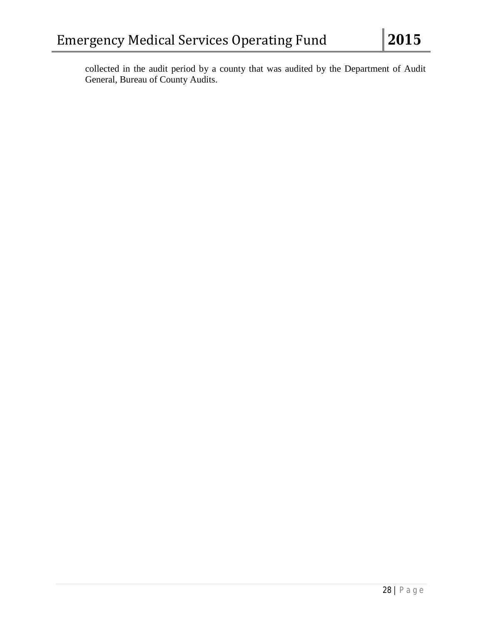collected in the audit period by a county that was audited by the Department of Audit General, Bureau of County Audits.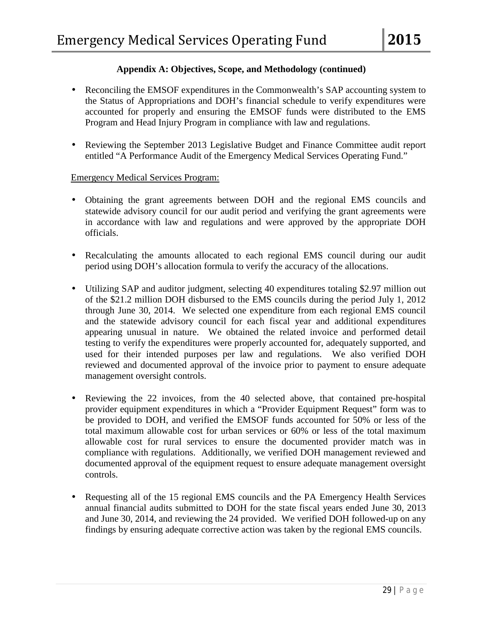### **Appendix A: Objectives, Scope, and Methodology (continued)**

- Reconciling the EMSOF expenditures in the Commonwealth's SAP accounting system to the Status of Appropriations and DOH's financial schedule to verify expenditures were accounted for properly and ensuring the EMSOF funds were distributed to the EMS Program and Head Injury Program in compliance with law and regulations.
- Reviewing the September 2013 Legislative Budget and Finance Committee audit report entitled "A Performance Audit of the Emergency Medical Services Operating Fund."

### Emergency Medical Services Program:

- Obtaining the grant agreements between DOH and the regional EMS councils and statewide advisory council for our audit period and verifying the grant agreements were in accordance with law and regulations and were approved by the appropriate DOH officials.
- Recalculating the amounts allocated to each regional EMS council during our audit ä, period using DOH's allocation formula to verify the accuracy of the allocations.
- Utilizing SAP and auditor judgment, selecting 40 expenditures totaling \$2.97 million out ¥, of the \$21.2 million DOH disbursed to the EMS councils during the period July 1, 2012 through June 30, 2014. We selected one expenditure from each regional EMS council and the statewide advisory council for each fiscal year and additional expenditures appearing unusual in nature. We obtained the related invoice and performed detail testing to verify the expenditures were properly accounted for, adequately supported, and used for their intended purposes per law and regulations. We also verified DOH reviewed and documented approval of the invoice prior to payment to ensure adequate management oversight controls.
- Reviewing the 22 invoices, from the 40 selected above, that contained pre-hospital provider equipment expenditures in which a "Provider Equipment Request" form was to be provided to DOH, and verified the EMSOF funds accounted for 50% or less of the total maximum allowable cost for urban services or 60% or less of the total maximum allowable cost for rural services to ensure the documented provider match was in compliance with regulations. Additionally, we verified DOH management reviewed and documented approval of the equipment request to ensure adequate management oversight controls.
- Requesting all of the 15 regional EMS councils and the PA Emergency Health Services annual financial audits submitted to DOH for the state fiscal years ended June 30, 2013 and June 30, 2014, and reviewing the 24 provided. We verified DOH followed-up on any findings by ensuring adequate corrective action was taken by the regional EMS councils.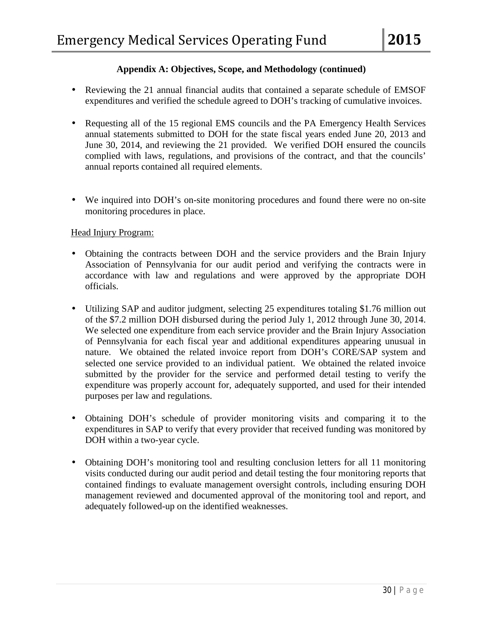## **Appendix A: Objectives, Scope, and Methodology (continued)**

- Reviewing the 21 annual financial audits that contained a separate schedule of EMSOF expenditures and verified the schedule agreed to DOH's tracking of cumulative invoices.
- Requesting all of the 15 regional EMS councils and the PA Emergency Health Services annual statements submitted to DOH for the state fiscal years ended June 20, 2013 and June 30, 2014, and reviewing the 21 provided. We verified DOH ensured the councils complied with laws, regulations, and provisions of the contract, and that the councils' annual reports contained all required elements.
- We inquired into DOH's on-site monitoring procedures and found there were no on-site monitoring procedures in place.

### Head Injury Program:

- Obtaining the contracts between DOH and the service providers and the Brain Injury Association of Pennsylvania for our audit period and verifying the contracts were in accordance with law and regulations and were approved by the appropriate DOH officials.
- Utilizing SAP and auditor judgment, selecting 25 expenditures totaling \$1.76 million out of the \$7.2 million DOH disbursed during the period July 1, 2012 through June 30, 2014. We selected one expenditure from each service provider and the Brain Injury Association of Pennsylvania for each fiscal year and additional expenditures appearing unusual in nature. We obtained the related invoice report from DOH's CORE/SAP system and selected one service provided to an individual patient. We obtained the related invoice submitted by the provider for the service and performed detail testing to verify the expenditure was properly account for, adequately supported, and used for their intended purposes per law and regulations.
- Obtaining DOH's schedule of provider monitoring visits and comparing it to the expenditures in SAP to verify that every provider that received funding was monitored by DOH within a two-year cycle.
- Obtaining DOH's monitoring tool and resulting conclusion letters for all 11 monitoring visits conducted during our audit period and detail testing the four monitoring reports that contained findings to evaluate management oversight controls, including ensuring DOH management reviewed and documented approval of the monitoring tool and report, and adequately followed-up on the identified weaknesses.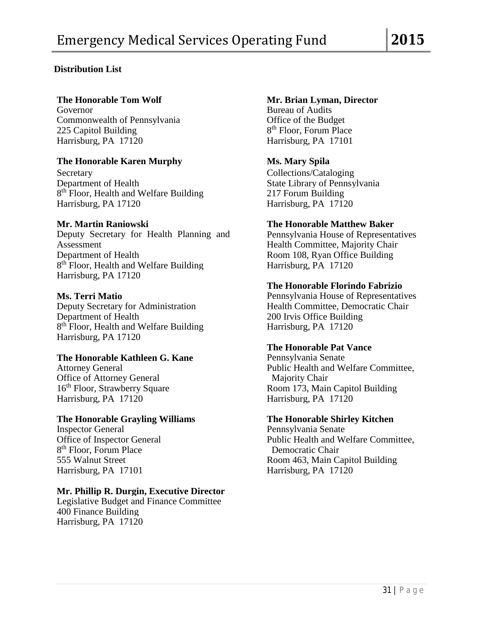# **Distribution List**

Governor Bureau of Audits Commonwealth of Pennsylvania **Office of the Budget** 225 Capitol Building 8<sup>th</sup> Floor, Forum Place<br>Harrisburg, PA 17120 Harrisburg, PA 17101 Harrisburg, PA 17120

### **The Honorable Karen Murphy Ms. Mary Spila**

Secretary Collections/Cataloging<br>
Department of Health State Library of Pennsy 8<sup>th</sup> Floor, Health and Welfare Building Harrisburg, PA 17120 Harrisburg, PA 17120

#### **Mr. Martin Raniowski**

Deputy Secretary for Health Planning and Pennsylvania House of Representatives Assessment Health Committee, Majority Chair Department of Health Room 108, Ryan Office Building<br>  $8<sup>th</sup>$  Floor, Health and Welfare Building Harrisburg, PA 17120  $8<sup>th</sup>$  Floor, Health and Welfare Building Harrisburg, PA 17120

Department of Health 200 Irvis Office Building<br>  $8<sup>th</sup>$  Floor, Health and Welfare Building Harrisburg, PA 17120 8<sup>th</sup> Floor, Health and Welfare Building Harrisburg, PA 17120

### **The Honorable Kathleen G. Kane**

Office of Attorney General Majority Chair<br>
16<sup>th</sup> Floor, Strawberry Square Room 173, Main Harrisburg, PA 17120 Harrisburg, PA 17120

# **The Honorable Grayling Williams**<br> **The Honorable Shirley Kitchen**<br> **Pennsylvania Senate**

Inspector General Pennsylvania Senate<br>
Office of Inspector General Public Health and W 8<sup>th</sup> Floor, Forum Place Democratic Chair<br>555 Walnut Street Room 463, Main Ca Harrisburg, PA 17101 Harrisburg, PA 17120

#### **Mr. Phillip R. Durgin, Executive Director**

Legislative Budget and Finance Committee 400 Finance Building Harrisburg, PA 17120

### **The Honorable Tom Wolf Mr. Brian Lyman, Director**

State Library of Pennsylvania<br>217 Forum Building

**The Honorable Matthew Baker**

#### **The Honorable Florindo Fabrizio**

**Ms. Terri Matio Pennsylvania House of Representatives** Deputy Secretary for Administration Health Committee, Democratic Chair

# **The Honorable Pat Vance**

Attorney General **Public Health and Welfare Committee**, Room 173, Main Capitol Building

Public Health and Welfare Committee, Room 463, Main Capitol Building